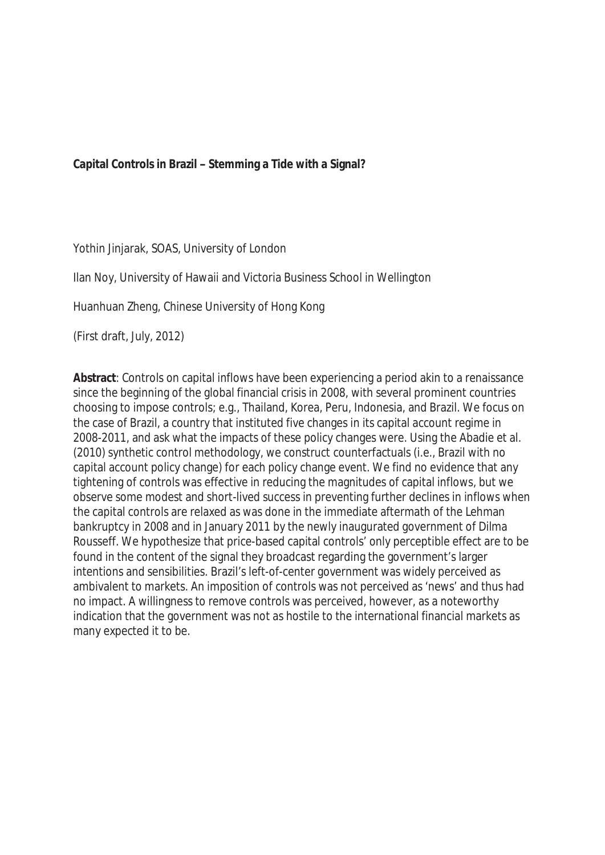### **Capital Controls in Brazil – Stemming a Tide with a Signal?**

Yothin Jinjarak, SOAS, University of London

Ilan Noy, University of Hawaii and Victoria Business School in Wellington

Huanhuan Zheng, Chinese University of Hong Kong

(First draft, July, 2012)

**Abstract**: Controls on capital inflows have been experiencing a period akin to a renaissance since the beginning of the global financial crisis in 2008, with several prominent countries choosing to impose controls; e.g., Thailand, Korea, Peru, Indonesia, and Brazil. We focus on the case of Brazil, a country that instituted five changes in its capital account regime in 2008-2011, and ask what the impacts of these policy changes were. Using the Abadie et al. (2010) synthetic control methodology, we construct counterfactuals (i.e., Brazil with no capital account policy change) for each policy change event. We find no evidence that any tightening of controls was effective in reducing the magnitudes of capital inflows, but we observe some modest and short-lived success in preventing further declines in inflows when the capital controls are relaxed as was done in the immediate aftermath of the Lehman bankruptcy in 2008 and in January 2011 by the newly inaugurated government of Dilma Rousseff. We hypothesize that price-based capital controls' only perceptible effect are to be found in the content of the signal they broadcast regarding the government's larger intentions and sensibilities. Brazil's left-of-center government was widely perceived as ambivalent to markets. An imposition of controls was not perceived as 'news' and thus had no impact. A willingness to remove controls was perceived, however, as a noteworthy indication that the government was not as hostile to the international financial markets as many expected it to be.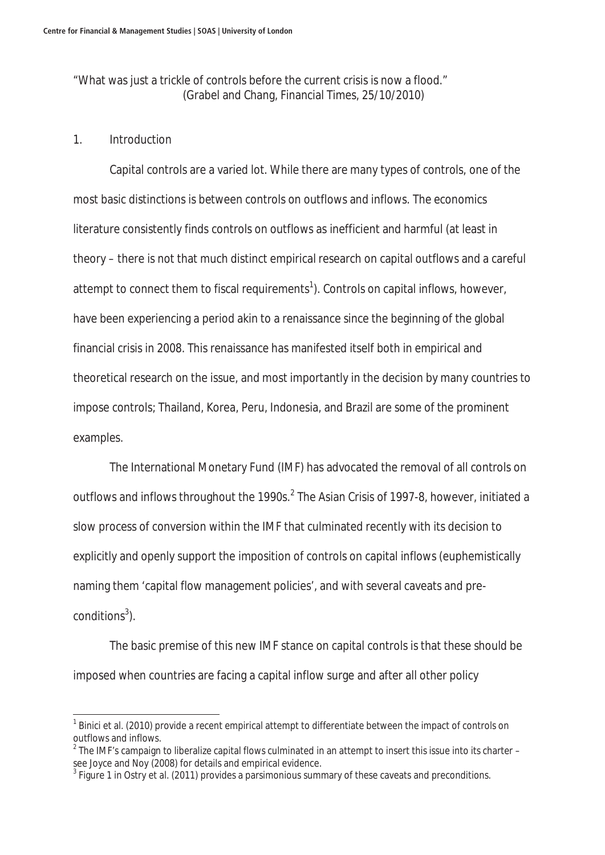"What was just a trickle of controls before the current crisis is now a flood." (Grabel and Chang, Financial Times, 25/10/2010)

### 1. Introduction

<u>.</u>

Capital controls are a varied lot. While there are many types of controls, one of the most basic distinctions is between controls on outflows and inflows. The economics literature consistently finds controls on outflows as inefficient and harmful (at least in theory – there is not that much distinct empirical research on capital outflows and a careful attempt to connect them to fiscal requirements<sup>1</sup>). Controls on capital inflows, however, have been experiencing a period akin to a renaissance since the beginning of the global financial crisis in 2008. This renaissance has manifested itself both in empirical and theoretical research on the issue, and most importantly in the decision by many countries to impose controls; Thailand, Korea, Peru, Indonesia, and Brazil are some of the prominent examples.

The International Monetary Fund (IMF) has advocated the removal of all controls on outflows and inflows throughout the 1990s.<sup>2</sup> The Asian Crisis of 1997-8, however, initiated a slow process of conversion within the IMF that culminated recently with its decision to explicitly and openly support the imposition of controls on capital inflows (euphemistically naming them 'capital flow management policies', and with several caveats and preconditions<sup>3</sup>).

The basic premise of this new IMF stance on capital controls is that these should be imposed when countries are facing a capital inflow surge and after all other policy

 $1$  Binici et al. (2010) provide a recent empirical attempt to differentiate between the impact of controls on outflows and inflows.

 $2$  The IMF's campaign to liberalize capital flows culminated in an attempt to insert this issue into its charter – see Joyce and Noy (2008) for details and empirical evidence.

 $3$  Figure 1 in Ostry et al. (2011) provides a parsimonious summary of these caveats and preconditions.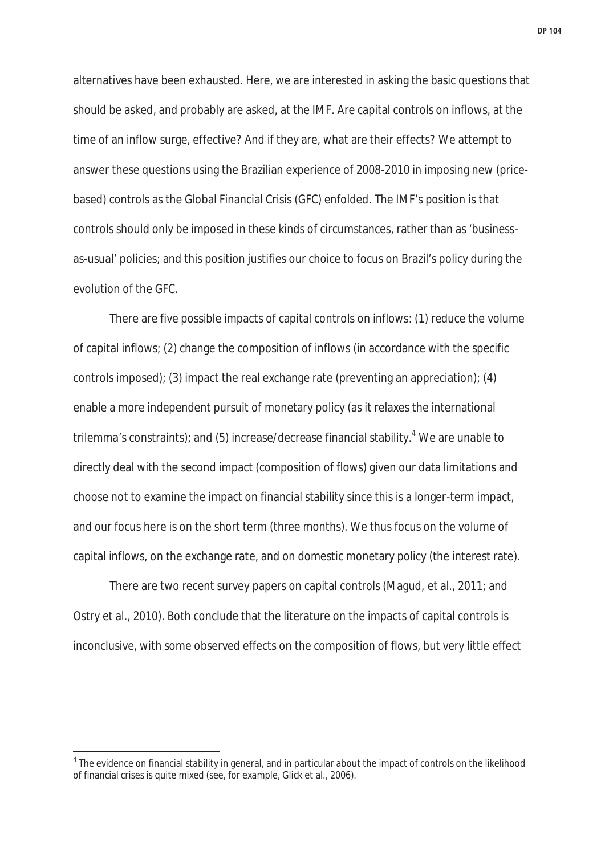alternatives have been exhausted. Here, we are interested in asking the basic questions that should be asked, and probably are asked, at the IMF. Are capital controls on inflows, at the time of an inflow surge, effective? And if they are, what are their effects? We attempt to answer these questions using the Brazilian experience of 2008-2010 in imposing new (pricebased) controls as the Global Financial Crisis (GFC) enfolded. The IMF's position is that controls should only be imposed in these kinds of circumstances, rather than as 'businessas-usual' policies; and this position justifies our choice to focus on Brazil's policy during the evolution of the GFC.

There are five possible impacts of capital controls on inflows: (1) reduce the volume of capital inflows; (2) change the composition of inflows (in accordance with the specific controls imposed); (3) impact the real exchange rate (preventing an appreciation); (4) enable a more independent pursuit of monetary policy (as it relaxes the international trilemma's constraints); and (5) increase/decrease financial stability.<sup>4</sup> We are unable to directly deal with the second impact (composition of flows) given our data limitations and choose not to examine the impact on financial stability since this is a longer-term impact, and our focus here is on the short term (three months). We thus focus on the volume of capital inflows, on the exchange rate, and on domestic monetary policy (the interest rate).

There are two recent survey papers on capital controls (Magud, et al., 2011; and Ostry et al., 2010). Both conclude that the literature on the impacts of capital controls is inconclusive, with some observed effects on the composition of flows, but very little effect

-

<sup>&</sup>lt;sup>4</sup> The evidence on financial stability in general, and in particular about the impact of controls on the likelihood of financial crises is quite mixed (see, for example, Glick et al., 2006).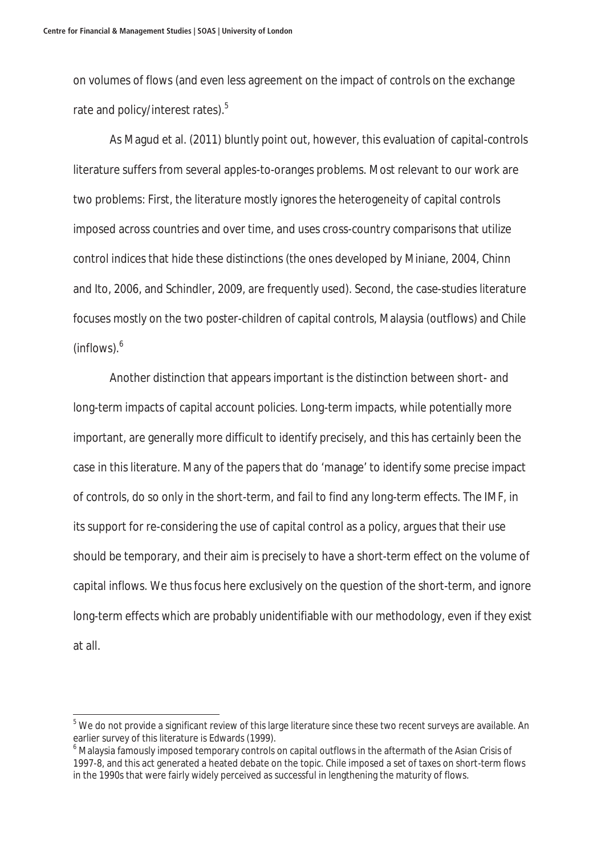<u>.</u>

on volumes of flows (and even less agreement on the impact of controls on the exchange rate and policy/interest rates).<sup>5</sup>

As Magud et al. (2011) bluntly point out, however, this evaluation of capital-controls literature suffers from several apples-to-oranges problems. Most relevant to our work are two problems: First, the literature mostly ignores the heterogeneity of capital controls imposed across countries and over time, and uses cross-country comparisons that utilize control indices that hide these distinctions (the ones developed by Miniane, 2004, Chinn and Ito, 2006, and Schindler, 2009, are frequently used). Second, the case-studies literature focuses mostly on the two poster-children of capital controls, Malaysia (outflows) and Chile  $(inflows).<sup>6</sup>$ 

Another distinction that appears important is the distinction between short- and long-term impacts of capital account policies. Long-term impacts, while potentially more important, are generally more difficult to identify precisely, and this has certainly been the case in this literature. Many of the papers that do 'manage' to identify some precise impact of controls, do so only in the short-term, and fail to find any long-term effects. The IMF, in its support for re-considering the use of capital control as a policy, argues that their use should be temporary, and their aim is precisely to have a short-term effect on the volume of capital inflows. We thus focus here exclusively on the question of the short-term, and ignore long-term effects which are probably unidentifiable with our methodology, even if they exist at all.

 $^5$  We do not provide a significant review of this large literature since these two recent surveys are available. An earlier survey of this literature is Edwards (1999).

<sup>&</sup>lt;sup>6</sup> Malaysia famously imposed temporary controls on capital outflows in the aftermath of the Asian Crisis of 1997-8, and this act generated a heated debate on the topic. Chile imposed a set of taxes on short-term flows in the 1990s that were fairly widely perceived as successful in lengthening the maturity of flows.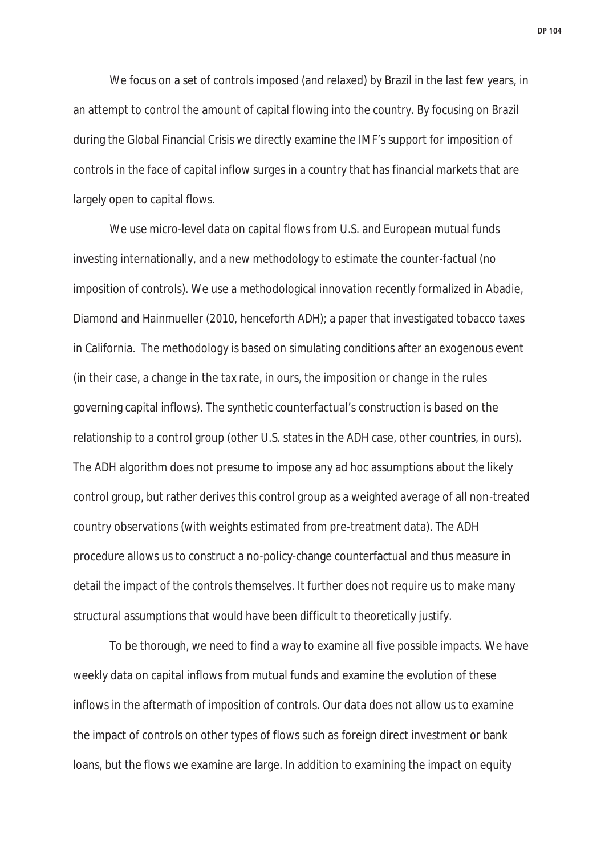**DP 104**

We focus on a set of controls imposed (and relaxed) by Brazil in the last few years, in an attempt to control the amount of capital flowing into the country. By focusing on Brazil during the Global Financial Crisis we directly examine the IMF's support for imposition of controls in the face of capital inflow surges in a country that has financial markets that are largely open to capital flows.

 We use micro-level data on capital flows from U.S. and European mutual funds investing internationally, and a new methodology to estimate the counter-factual (no imposition of controls). We use a methodological innovation recently formalized in Abadie, Diamond and Hainmueller (2010, henceforth ADH); a paper that investigated tobacco taxes in California. The methodology is based on simulating conditions after an exogenous event (in their case, a change in the tax rate, in ours, the imposition or change in the rules governing capital inflows). The synthetic counterfactual's construction is based on the relationship to a control group (other U.S. states in the ADH case, other countries, in ours). The ADH algorithm does not presume to impose any ad hoc assumptions about the likely control group, but rather derives this control group as a weighted average of all non-treated country observations (with weights estimated from pre-treatment data). The ADH procedure allows us to construct a no-policy-change counterfactual and thus measure in detail the impact of the controls themselves. It further does not require us to make many structural assumptions that would have been difficult to theoretically justify.

To be thorough, we need to find a way to examine all five possible impacts. We have weekly data on capital inflows from mutual funds and examine the evolution of these inflows in the aftermath of imposition of controls. Our data does not allow us to examine the impact of controls on other types of flows such as foreign direct investment or bank loans, but the flows we examine are large. In addition to examining the impact on equity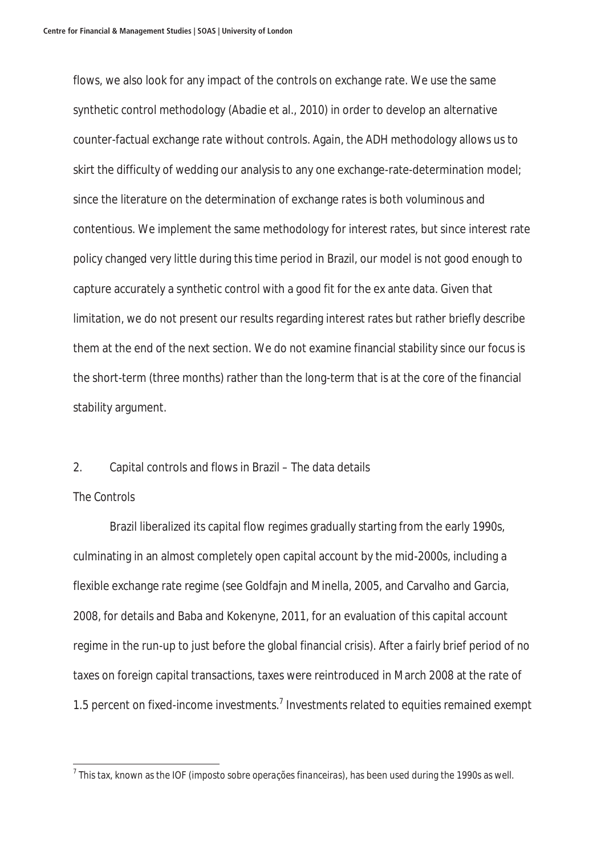flows, we also look for any impact of the controls on exchange rate. We use the same synthetic control methodology (Abadie et al., 2010) in order to develop an alternative counter-factual exchange rate without controls. Again, the ADH methodology allows us to skirt the difficulty of wedding our analysis to any one exchange-rate-determination model; since the literature on the determination of exchange rates is both voluminous and contentious. We implement the same methodology for interest rates, but since interest rate policy changed very little during this time period in Brazil, our model is not good enough to capture accurately a synthetic control with a good fit for the ex ante data. Given that limitation, we do not present our results regarding interest rates but rather briefly describe them at the end of the next section. We do not examine financial stability since our focus is the short-term (three months) rather than the long-term that is at the core of the financial stability argument.

### 2. Capital controls and flows in Brazil – The data details

### *The Controls*

**.** 

Brazil liberalized its capital flow regimes gradually starting from the early 1990s, culminating in an almost completely open capital account by the mid-2000s, including a flexible exchange rate regime (see Goldfajn and Minella, 2005, and Carvalho and Garcia, 2008, for details and Baba and Kokenyne, 2011, for an evaluation of this capital account regime in the run-up to just before the global financial crisis). After a fairly brief period of no taxes on foreign capital transactions, taxes were reintroduced in March 2008 at the rate of 1.5 percent on fixed-income investments.<sup>7</sup> Investments related to equities remained exempt

<sup>7</sup> This tax, known as the IOF (*imposto sobre operações financeiras)*, has been used during the 1990s as well.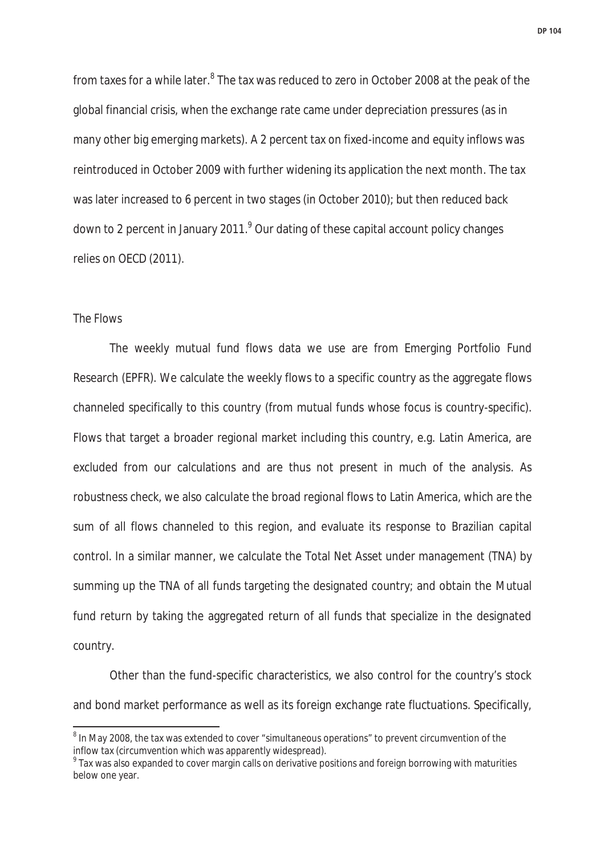from taxes for a while later.<sup>8</sup> The tax was reduced to zero in October 2008 at the peak of the global financial crisis, when the exchange rate came under depreciation pressures (as in many other big emerging markets). A 2 percent tax on fixed-income and equity inflows was reintroduced in October 2009 with further widening its application the next month. The tax was later increased to 6 percent in two stages (in October 2010); but then reduced back down to 2 percent in January 2011.<sup>9</sup> Our dating of these capital account policy changes relies on OECD (2011).

### *The Flows*

**.** 

The weekly mutual fund flows data we use are from Emerging Portfolio Fund Research (EPFR). We calculate the weekly flows to a specific country as the aggregate flows channeled specifically to this country (from mutual funds whose focus is country-specific). Flows that target a broader regional market including this country, e.g. Latin America, are excluded from our calculations and are thus not present in much of the analysis. As robustness check, we also calculate the broad regional flows to Latin America, which are the sum of all flows channeled to this region, and evaluate its response to Brazilian capital control. In a similar manner, we calculate the Total Net Asset under management (TNA) by summing up the TNA of all funds targeting the designated country; and obtain the Mutual fund return by taking the aggregated return of all funds that specialize in the designated country.

Other than the fund-specific characteristics, we also control for the country's stock and bond market performance as well as its foreign exchange rate fluctuations. Specifically,

<sup>&</sup>lt;sup>8</sup> In May 2008, the tax was extended to cover "simultaneous operations" to prevent circumvention of the inflow tax (circumvention which was apparently widespread).

<sup>&</sup>lt;sup>9</sup> Tax was also expanded to cover margin calls on derivative positions and foreign borrowing with maturities below one year.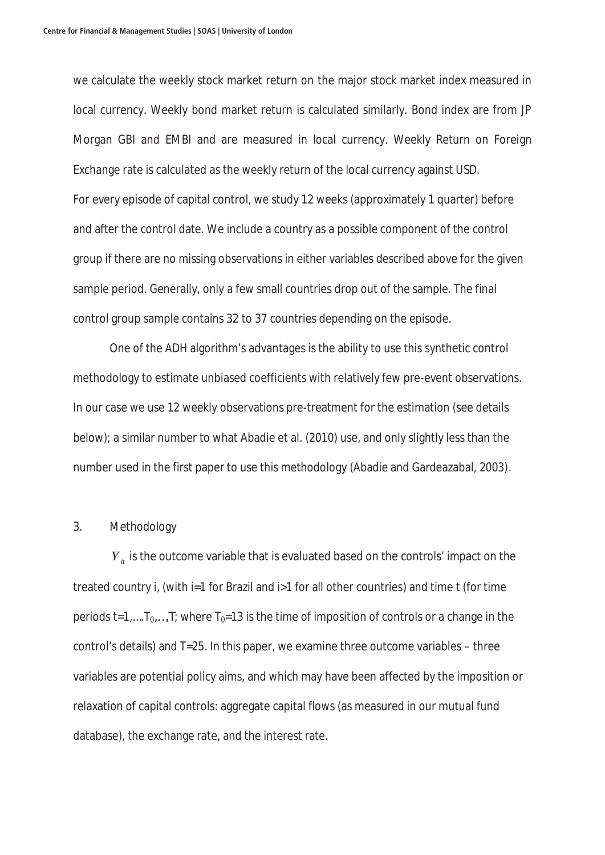we calculate the weekly stock market return on the major stock market index measured in local currency. Weekly bond market return is calculated similarly. Bond index are from JP Morgan GBI and EMBI and are measured in local currency. Weekly Return on Foreign Exchange rate is calculated as the weekly return of the local currency against USD. For every episode of capital control, we study 12 weeks (approximately 1 quarter) before and after the control date. We include a country as a possible component of the control group if there are no missing observations in either variables described above for the given sample period. Generally, only a few small countries drop out of the sample. The final control group sample contains 32 to 37 countries depending on the episode.

One of the ADH algorithm's advantages is the ability to use this synthetic control methodology to estimate unbiased coefficients with relatively few pre-event observations. In our case we use 12 weekly observations pre-treatment for the estimation (see details below); a similar number to what Abadie et al. (2010) use, and only slightly less than the number used in the first paper to use this methodology (Abadie and Gardeazabal, 2003).

#### 3. Methodology

 $Y_{it}$  is the outcome variable that is evaluated based on the controls' impact on the treated country *i*, (with *i*=1 for Brazil and *i*>1 for all other countries) and time *t* (for time periods  $t=1,...,T_0,...,T$ ; where  $T_0=13$  is the time of imposition of controls or a change in the control's details) and *T*=25. In this paper, we examine three outcome variables – three variables are potential policy aims, and which may have been affected by the imposition or relaxation of capital controls: aggregate capital flows (as measured in our mutual fund database), the exchange rate, and the interest rate.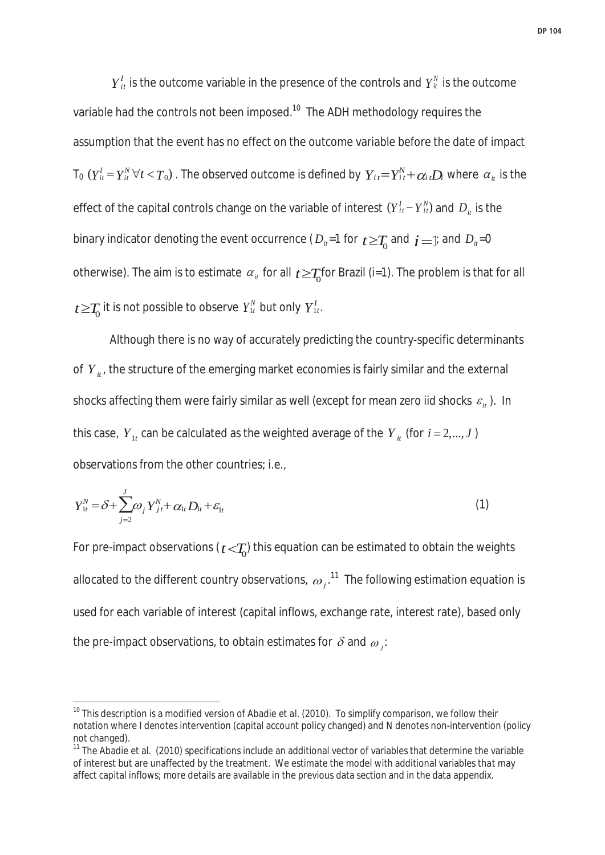$Y'_{it}$  is the outcome variable in the presence of the controls and  $Y''_{it}$  is the outcome variable had the controls not been imposed.<sup>10</sup> The ADH methodology requires the assumption that the event has no effect on the outcome variable before the date of impact  $T_0$   $(Y_{it}^I = Y_{it}^N \forall t < T_0)$ . The observed outcome is defined by  $Y_{it} = Y_{it}^N + \alpha_{it} D_i$  where  $\alpha_{it}$  is the effect of the capital controls change on the variable of interest  $(Y'_{it} - Y''_{it})$  and  $D_{it}$  is the binary indicator denoting the event occurrence (  $D_{li}$  =1 for  $t \geq T_0$  and  $i = 1$ ; and  $D_{li}$  =0 otherwise). The aim is to estimate  $\alpha_{it}$  for all  $t \geq T_0$ for Brazil (*i*=1). The problem is that for all  $t \geq T_0$  it is not possible to observe  $Y_{1t}^N$  but only  $Y_{1t}^N$ .

Although there is no way of accurately predicting the country-specific determinants of  $Y_{it}$ , the structure of the emerging market economies is fairly similar and the external shocks affecting them were fairly similar as well (except for mean zero iid shocks  $\varepsilon_{i}$ ). In this case,  $Y_{1t}$  can be calculated as the weighted average of the  $Y_{it}$  (for  $i = 2,...,J$ ) observations from the other countries; i.e.,

$$
Y_{1t}^N = \delta + \sum_{j=2}^J \omega_j Y_{j\,t}^N + \alpha_{1t} D_{1t} + \varepsilon_{1t}
$$
\n<sup>(1)</sup>

For pre-impact observations ( $t < T_0$ ) this equation can be estimated to obtain the weights allocated to the different country observations,  $\omega_j$ <sup>11</sup> The following estimation equation is used for each variable of interest (capital inflows, exchange rate, interest rate), based only the pre-impact observations, to obtain estimates for  $\delta$  and  $\omega_j$ :

**.** 

<sup>&</sup>lt;sup>10</sup> This description is a modified version of Abadie *et al.* (2010). To simplify comparison, we follow their notation where *I* denotes intervention (capital account policy changed) and *N* denotes non-intervention (policy not changed).

 $11$  The Abadie et al. (2010) specifications include an additional vector of variables that determine the variable of interest but are unaffected by the treatment. We estimate the model with additional variables that may affect capital inflows; more details are available in the previous data section and in the data appendix.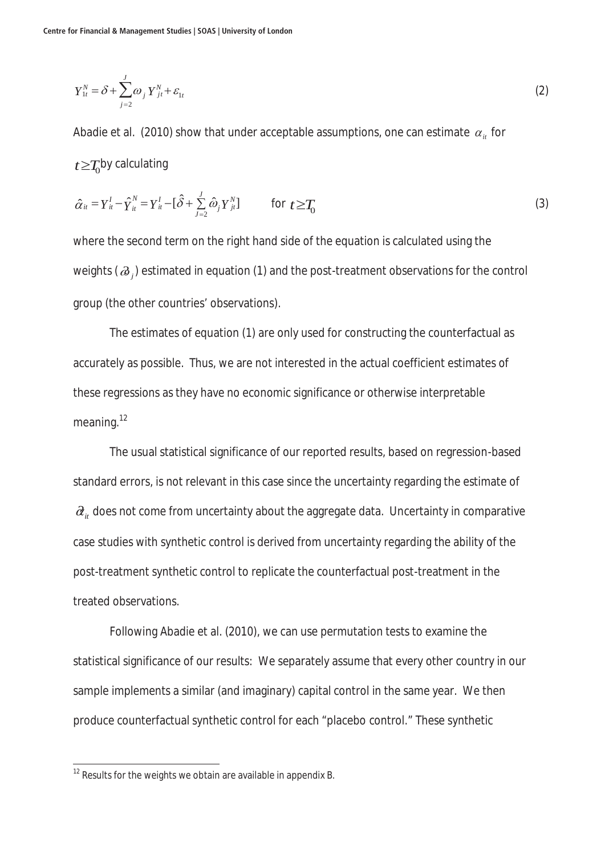$$
Y_{1t}^N = \delta + \sum_{j=2}^J \omega_j Y_{jt}^N + \varepsilon_{1t} \tag{2}
$$

Abadie et al. (2010) show that under acceptable assumptions, one can estimate  $\alpha_{ij}$  for  $t \geq T_0$ by calculating

$$
\hat{\alpha}_{it} = Y_{it}^I - \hat{Y}_{it}^N = Y_{it}^I - [\hat{\delta} + \sum_{j=2}^J \hat{\omega}_j Y_{jt}^N] \qquad \text{for } t \ge T_0
$$
 (3)

where the second term on the right hand side of the equation is calculated using the weights ( $\partial_{j}$ ) estimated in equation (1) and the post-treatment observations for the control group (the other countries' observations).

The estimates of equation (1) are only used for constructing the counterfactual as accurately as possible. Thus, we are not interested in the actual coefficient estimates of these regressions as they have no economic significance or otherwise interpretable meaning.12

The usual statistical significance of our reported results, based on regression-based standard errors, is not relevant in this case since the uncertainty regarding the estimate of  $\partial_{\mu}$  does not come from uncertainty about the aggregate data. Uncertainty in comparative case studies with synthetic control is derived from uncertainty regarding the ability of the post-treatment synthetic control to replicate the counterfactual post-treatment in the treated observations.

Following Abadie et al. (2010), we can use permutation tests to examine the statistical significance of our results: We separately assume that every other country in our sample implements a similar (and imaginary) capital control in the same year. We then produce counterfactual synthetic control for each "placebo control." These synthetic

**.** 

 $12$  Results for the weights we obtain are available in appendix B.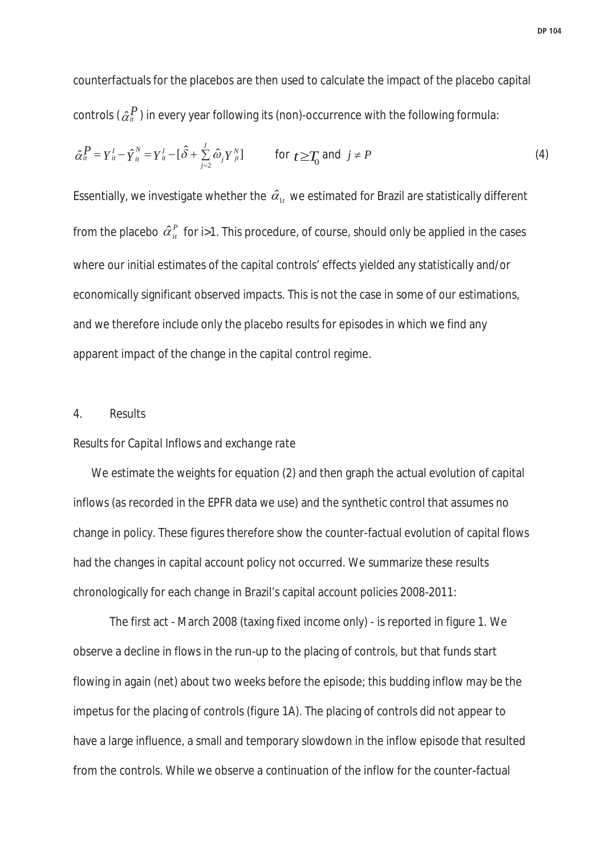counterfactuals for the placebos are then used to calculate the impact of the placebo capital controls ( $\hat{\alpha}_{\scriptscriptstyle{ii}}^P$ ) in every year following its (non)-occurrence with the following formula:

$$
\hat{\alpha}_u^P = Y_u^I - \hat{Y}_u^N = Y_u^I - [\hat{\delta} + \sum_{j=2}^J \hat{\omega}_j Y_{jt}^N] \qquad \text{for } t \ge T_0 \text{ and } j \ne P
$$
 (4)

Essentially, we investigate whether the  $\hat{\alpha}_{1t}$  we estimated for Brazil are statistically different from the placebo  $\hat{\alpha}_{i}^{P}$  for  $\dot{\triangleright}$ 1. This procedure, of course, should only be applied in the cases where our initial estimates of the capital controls' effects yielded any statistically and/or economically significant observed impacts. This is not the case in some of our estimations, and we therefore include only the placebo results for episodes in which we find any apparent impact of the change in the capital control regime.

### 4. Results

### *Results for Capital Inflows and exchange rate*

We estimate the weights for equation (2) and then graph the actual evolution of capital inflows (as recorded in the EPFR data we use) and the synthetic control that assumes no change in policy. These figures therefore show the counter-factual evolution of capital flows had the changes in capital account policy not occurred. We summarize these results chronologically for each change in Brazil's capital account policies 2008-2011:

The first act - March 2008 (taxing fixed income only) - is reported in figure 1. We observe a decline in flows in the run-up to the placing of controls, but that funds start flowing in again (net) about two weeks before the episode; this budding inflow may be the impetus for the placing of controls (figure 1A). The placing of controls did not appear to have a large influence, a small and temporary slowdown in the inflow episode that resulted from the controls. While we observe a continuation of the inflow for the counter-factual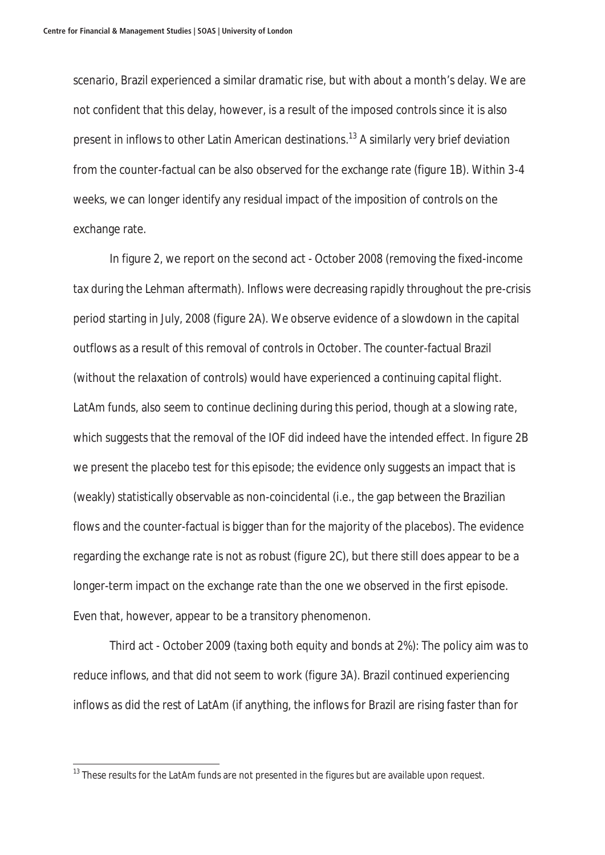scenario, Brazil experienced a similar dramatic rise, but with about a month's delay. We are not confident that this delay, however, is a result of the imposed controls since it is also present in inflows to other Latin American destinations.<sup>13</sup> A similarly very brief deviation from the counter-factual can be also observed for the exchange rate (figure 1B). Within 3-4 weeks, we can longer identify any residual impact of the imposition of controls on the exchange rate.

In figure 2, we report on the second act - October 2008 (removing the fixed-income tax during the Lehman aftermath). Inflows were decreasing rapidly throughout the pre-crisis period starting in July, 2008 (figure 2A). We observe evidence of a slowdown in the capital outflows as a result of this removal of controls in October. The counter-factual Brazil (without the relaxation of controls) would have experienced a continuing capital flight. LatAm funds, also seem to continue declining during this period, though at a slowing rate, which suggests that the removal of the IOF did indeed have the intended effect. In figure 2B we present the placebo test for this episode; the evidence only suggests an impact that is (weakly) statistically observable as non-coincidental (i.e., the gap between the Brazilian flows and the counter-factual is bigger than for the majority of the placebos). The evidence regarding the exchange rate is not as robust (figure 2C), but there still does appear to be a longer-term impact on the exchange rate than the one we observed in the first episode. Even that, however, appear to be a transitory phenomenon.

Third act - October 2009 (taxing both equity and bonds at 2%): The policy aim was to reduce inflows, and that did not seem to work (figure 3A). Brazil continued experiencing inflows as did the rest of LatAm (if anything, the inflows for Brazil are rising faster than for

**.** 

<sup>&</sup>lt;sup>13</sup> These results for the LatAm funds are not presented in the figures but are available upon request.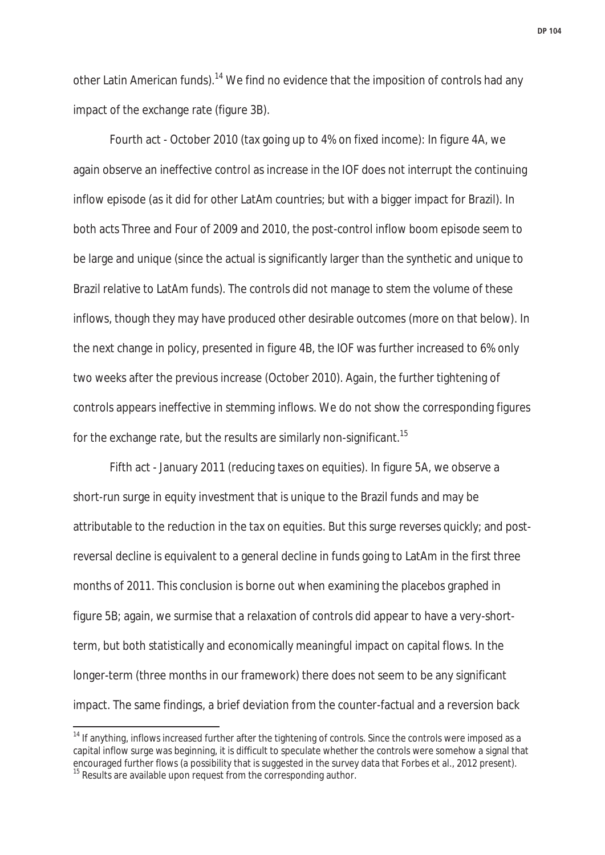other Latin American funds).<sup>14</sup> We find no evidence that the imposition of controls had any impact of the exchange rate (figure 3B).

Fourth act - October 2010 (tax going up to 4% on fixed income): In figure 4A, we again observe an ineffective control as increase in the IOF does not interrupt the continuing inflow episode (as it did for other LatAm countries; but with a bigger impact for Brazil). In both acts Three and Four of 2009 and 2010, the post-control inflow boom episode seem to be large and unique (since the actual is significantly larger than the synthetic and unique to Brazil relative to LatAm funds). The controls did not manage to stem the volume of these inflows, though they may have produced other desirable outcomes (more on that below). In the next change in policy, presented in figure 4B, the IOF was further increased to 6% only two weeks after the previous increase (October 2010). Again, the further tightening of controls appears ineffective in stemming inflows. We do not show the corresponding figures for the exchange rate, but the results are similarly non-significant.<sup>15</sup>

Fifth act - January 2011 (reducing taxes on equities). In figure 5A, we observe a short-run surge in equity investment that is unique to the Brazil funds and may be attributable to the reduction in the tax on equities. But this surge reverses quickly; and postreversal decline is equivalent to a general decline in funds going to LatAm in the first three months of 2011. This conclusion is borne out when examining the placebos graphed in figure 5B; again, we surmise that a relaxation of controls did appear to have a very-shortterm, but both statistically and economically meaningful impact on capital flows. In the longer-term (three months in our framework) there does not seem to be any significant impact. The same findings, a brief deviation from the counter-factual and a reversion back

**.** 

<sup>&</sup>lt;sup>14</sup> If anything, inflows increased further after the tightening of controls. Since the controls were imposed as a capital inflow surge was beginning, it is difficult to speculate whether the controls were somehow a signal that encouraged further flows (a possibility that is suggested in the survey data that Forbes et al., 2012 present).  $15$  Results are available upon request from the corresponding author.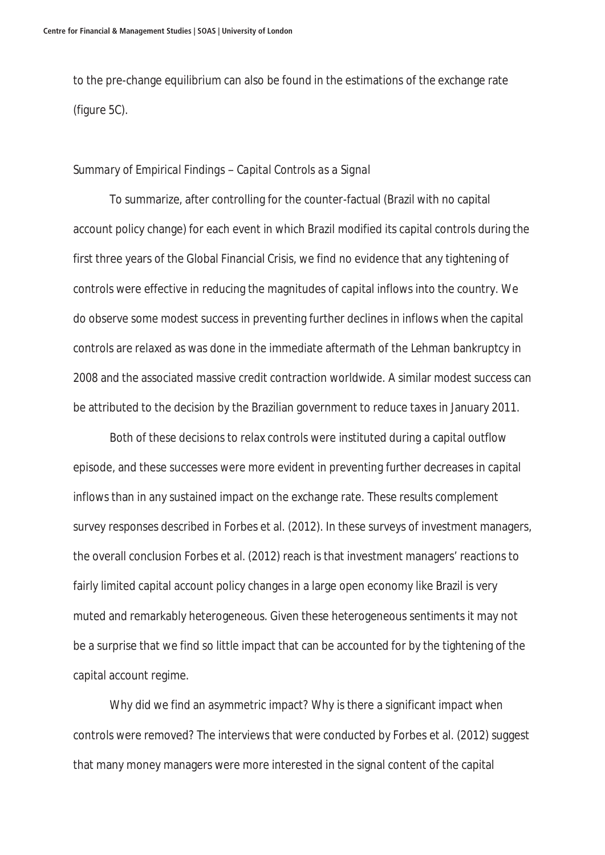to the pre-change equilibrium can also be found in the estimations of the exchange rate (figure 5C).

#### *Summary of Empirical Findings – Capital Controls as a Signal*

To summarize, after controlling for the counter-factual (Brazil with no capital account policy change) for each event in which Brazil modified its capital controls during the first three years of the Global Financial Crisis, we find no evidence that any tightening of controls were effective in reducing the magnitudes of capital inflows into the country. We do observe some modest success in preventing further declines in inflows when the capital controls are relaxed as was done in the immediate aftermath of the Lehman bankruptcy in 2008 and the associated massive credit contraction worldwide. A similar modest success can be attributed to the decision by the Brazilian government to reduce taxes in January 2011.

Both of these decisions to relax controls were instituted during a capital outflow episode, and these successes were more evident in preventing further decreases in capital inflows than in any sustained impact on the exchange rate. These results complement survey responses described in Forbes et al. (2012). In these surveys of investment managers, the overall conclusion Forbes et al. (2012) reach is that investment managers' reactions to fairly limited capital account policy changes in a large open economy like Brazil is very muted and remarkably heterogeneous. Given these heterogeneous sentiments it may not be a surprise that we find so little impact that can be accounted for by the tightening of the capital account regime.

Why did we find an asymmetric impact? Why is there a significant impact when controls were removed? The interviews that were conducted by Forbes et al. (2012) suggest that many money managers were more interested in the signal content of the capital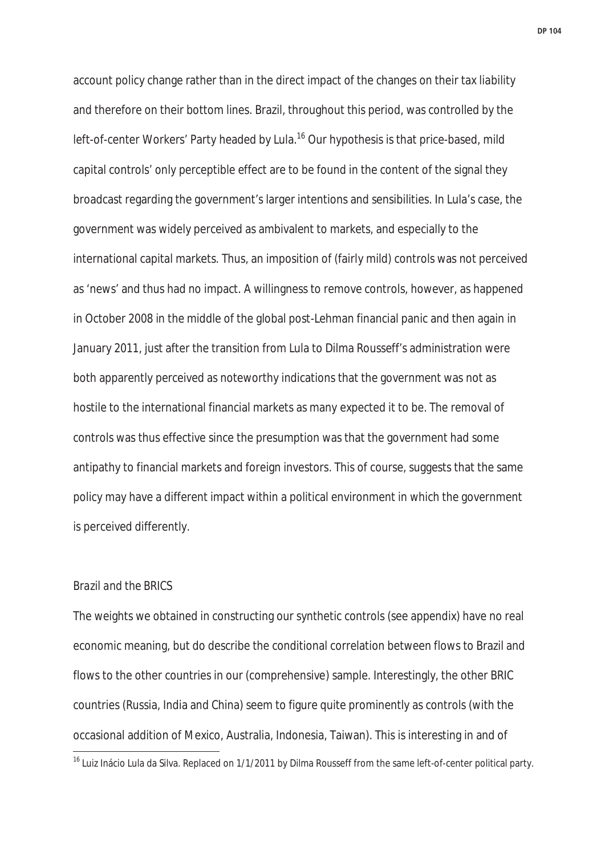**DP 104**

account policy change rather than in the direct impact of the changes on their tax liability and therefore on their bottom lines. Brazil, throughout this period, was controlled by the left-of-center Workers' Party headed by Lula.<sup>16</sup> Our hypothesis is that price-based, mild capital controls' only perceptible effect are to be found in the content of the signal they broadcast regarding the government's larger intentions and sensibilities. In Lula's case, the government was widely perceived as ambivalent to markets, and especially to the international capital markets. Thus, an imposition of (fairly mild) controls was not perceived as 'news' and thus had no impact. A willingness to remove controls, however, as happened in October 2008 in the middle of the global post-Lehman financial panic and then again in January 2011, just after the transition from Lula to Dilma Rousseff's administration were both apparently perceived as noteworthy indications that the government was not as hostile to the international financial markets as many expected it to be. The removal of controls was thus effective since the presumption was that the government had some antipathy to financial markets and foreign investors. This of course, suggests that the same policy may have a different impact within a political environment in which the government is perceived differently.

### *Brazil and the BRICS*

**.** 

The weights we obtained in constructing our synthetic controls (see appendix) have no real economic meaning, but do describe the conditional correlation between flows to Brazil and flows to the other countries in our (comprehensive) sample. Interestingly, the other BRIC countries (Russia, India and China) seem to figure quite prominently as controls (with the occasional addition of Mexico, Australia, Indonesia, Taiwan). This is interesting in and of

<sup>&</sup>lt;sup>16</sup> Luiz Inácio Lula da Silva. Replaced on 1/1/2011 by Dilma Rousseff from the same left-of-center political party.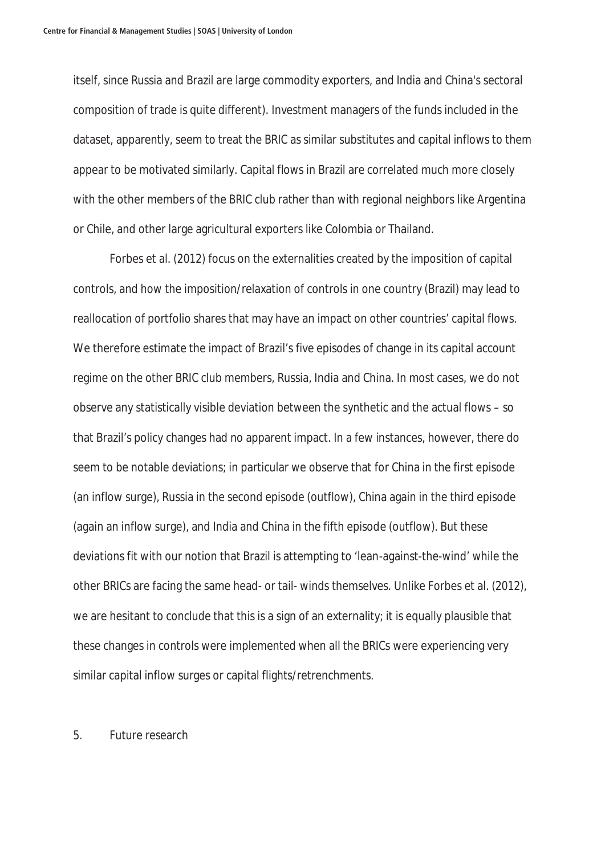itself, since Russia and Brazil are large commodity exporters, and India and China's sectoral composition of trade is quite different). Investment managers of the funds included in the dataset, apparently, seem to treat the BRIC as similar substitutes and capital inflows to them appear to be motivated similarly. Capital flows in Brazil are correlated much more closely with the other members of the BRIC club rather than with regional neighbors like Argentina or Chile, and other large agricultural exporters like Colombia or Thailand.

Forbes et al. (2012) focus on the externalities created by the imposition of capital controls, and how the imposition/relaxation of controls in one country (Brazil) may lead to reallocation of portfolio shares that may have an impact on other countries' capital flows. We therefore estimate the impact of Brazil's five episodes of change in its capital account regime on the other BRIC club members, Russia, India and China. In most cases, we do not observe any statistically visible deviation between the synthetic and the actual flows – so that Brazil's policy changes had no apparent impact. In a few instances, however, there do seem to be notable deviations; in particular we observe that for China in the first episode (an inflow surge), Russia in the second episode (outflow), China again in the third episode (again an inflow surge), and India and China in the fifth episode (outflow). But these deviations fit with our notion that Brazil is attempting to 'lean-against-the-wind' while the other BRICs are facing the same head- or tail- winds themselves. Unlike Forbes et al. (2012), we are hesitant to conclude that this is a sign of an externality; it is equally plausible that these changes in controls were implemented when all the BRICs were experiencing very similar capital inflow surges or capital flights/retrenchments.

#### 5. Future research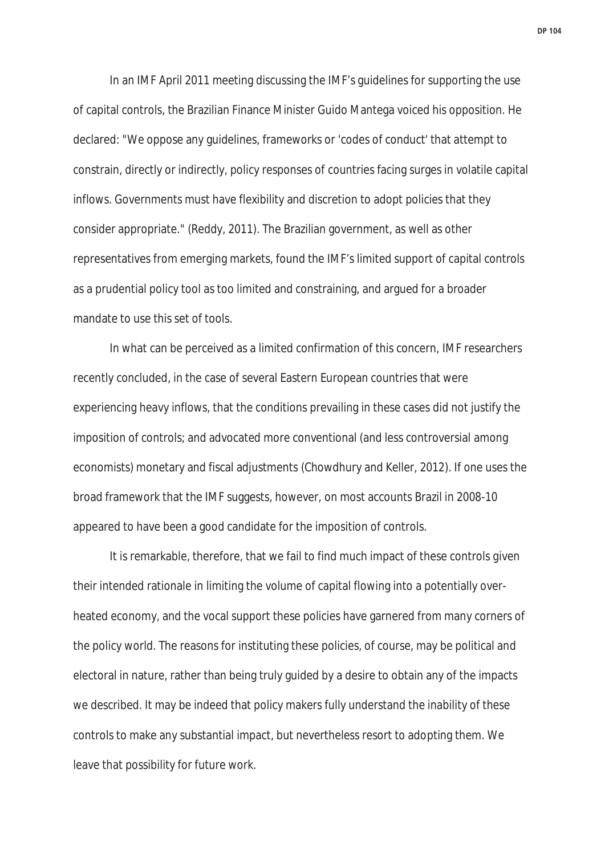In an IMF April 2011 meeting discussing the IMF's guidelines for supporting the use of capital controls, the Brazilian Finance Minister Guido Mantega voiced his opposition. He declared: "We oppose any guidelines, frameworks or 'codes of conduct' that attempt to constrain, directly or indirectly, policy responses of countries facing surges in volatile capital inflows. Governments must have flexibility and discretion to adopt policies that they consider appropriate." (Reddy, 2011). The Brazilian government, as well as other representatives from emerging markets, found the IMF's limited support of capital controls as a prudential policy tool as too limited and constraining, and argued for a broader mandate to use this set of tools.

In what can be perceived as a limited confirmation of this concern, IMF researchers recently concluded, in the case of several Eastern European countries that were experiencing heavy inflows, that the conditions prevailing in these cases did not justify the imposition of controls; and advocated more conventional (and less controversial among economists) monetary and fiscal adjustments (Chowdhury and Keller, 2012). If one uses the broad framework that the IMF suggests, however, on most accounts Brazil in 2008-10 appeared to have been a good candidate for the imposition of controls.

It is remarkable, therefore, that we fail to find much impact of these controls given their intended rationale in limiting the volume of capital flowing into a potentially overheated economy, and the vocal support these policies have garnered from many corners of the policy world. The reasons for instituting these policies, of course, may be political and electoral in nature, rather than being truly guided by a desire to obtain any of the impacts we described. It may be indeed that policy makers fully understand the inability of these controls to make any substantial impact, but nevertheless resort to adopting them. We leave that possibility for future work.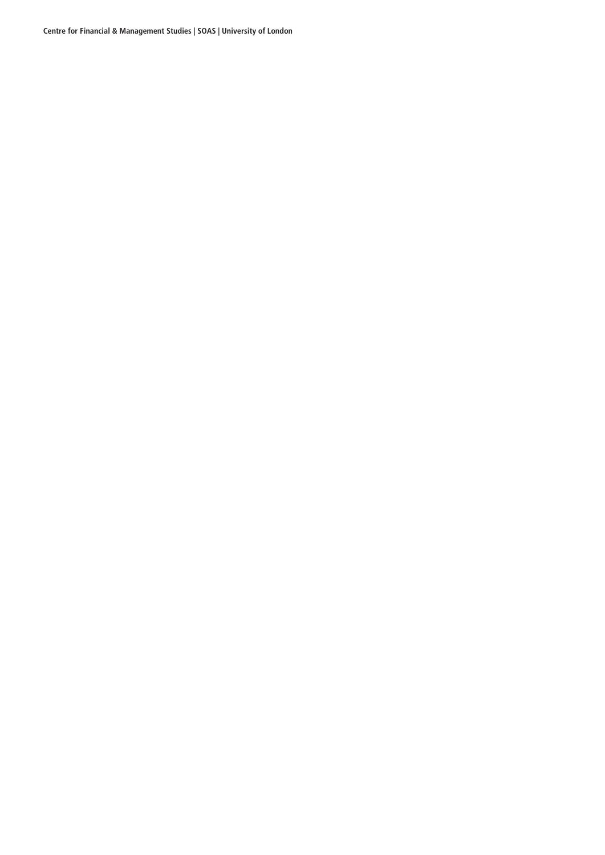**Centre for Financial & Management Studies | SOAS | University of London**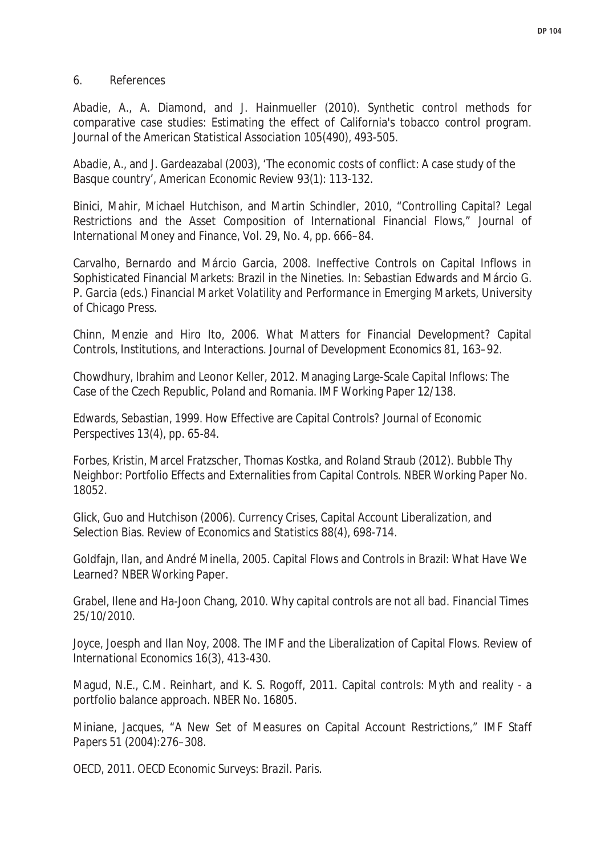### 6. References

Abadie, A., A. Diamond, and J. Hainmueller (2010). Synthetic control methods for comparative case studies: Estimating the effect of California's tobacco control program. *Journal of the American Statistical Association* 105(490), 493-505.

Abadie, A., and J. Gardeazabal (2003), 'The economic costs of conflict: A case study of the Basque country', *American Economic Review* 93(1): 113-132.

Binici, Mahir, Michael Hutchison, and Martin Schindler, 2010, "Controlling Capital? Legal Restrictions and the Asset Composition of International Financial Flows," *Journal of International Money and Finance*, Vol. 29, No. 4, pp. 666–84.

Carvalho, Bernardo and Márcio Garcia, 2008. Ineffective Controls on Capital Inflows in Sophisticated Financial Markets: Brazil in the Nineties. In: Sebastian Edwards and Márcio G. P. Garcia (eds.) *Financial Market Volatility and Performance in Emerging Markets*, University of Chicago Press.

Chinn, Menzie and Hiro Ito, 2006. What Matters for Financial Development? Capital Controls, Institutions, and Interactions. *Journal of Development Economics* 81, 163–92.

Chowdhury, Ibrahim and Leonor Keller, 2012. Managing Large-Scale Capital Inflows: The Case of the Czech Republic, Poland and Romania. IMF Working Paper 12/138.

Edwards, Sebastian, 1999. How Effective are Capital Controls? *Journal of Economic Perspectives* 13(4), pp. 65-84.

Forbes, Kristin, Marcel Fratzscher, Thomas Kostka, and Roland Straub (2012). Bubble Thy Neighbor: Portfolio Effects and Externalities from Capital Controls. NBER Working Paper No. 18052.

Glick, Guo and Hutchison (2006). Currency Crises, Capital Account Liberalization, and Selection Bias. *Review of Economics and Statistics* 88(4), 698-714.

Goldfajn, Ilan, and André Minella, 2005. Capital Flows and Controls in Brazil: What Have We Learned? NBER Working Paper.

Grabel, Ilene and Ha-Joon Chang, 2010. Why capital controls are not all bad. *Financial Times*  25/10/2010.

Joyce, Joesph and Ilan Noy, 2008. The IMF and the Liberalization of Capital Flows. *Review of International Economics* 16(3), 413-430.

Magud, N.E., C.M. Reinhart, and K. S. Rogoff, 2011. Capital controls: Myth and reality - a portfolio balance approach. NBER No. 16805.

Miniane, Jacques, "A New Set of Measures on Capital Account Restrictions," *IMF Staff Papers* 51 (2004):276–308.

OECD, 2011. *OECD Economic Surveys: Brazil.* Paris.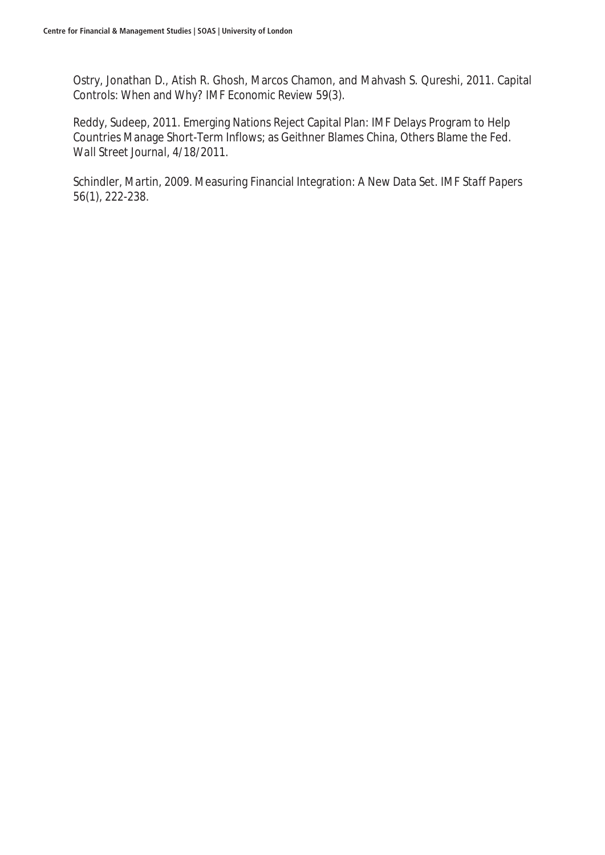Ostry, Jonathan D., Atish R. Ghosh, Marcos Chamon, and Mahvash S. Qureshi, 2011. Capital Controls: When and Why? *IMF Economic Review* 59(3).

Reddy, Sudeep, 2011. Emerging Nations Reject Capital Plan: IMF Delays Program to Help Countries Manage Short-Term Inflows; as Geithner Blames China, Others Blame the Fed. *Wall Street Journal*, 4/18/2011.

Schindler, Martin, 2009. Measuring Financial Integration: A New Data Set. *IMF Staff Papers* 56(1), 222-238.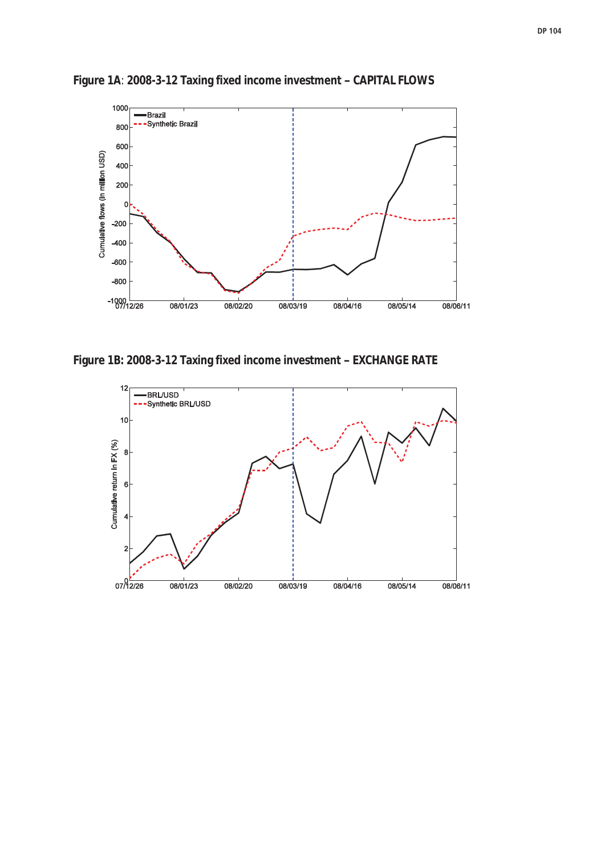

**Figure 1A**: **2008-3-12 Taxing fixed income investment – CAPITAL FLOWS** 

**Figure 1B: 2008-3-12 Taxing fixed income investment – EXCHANGE RATE** 

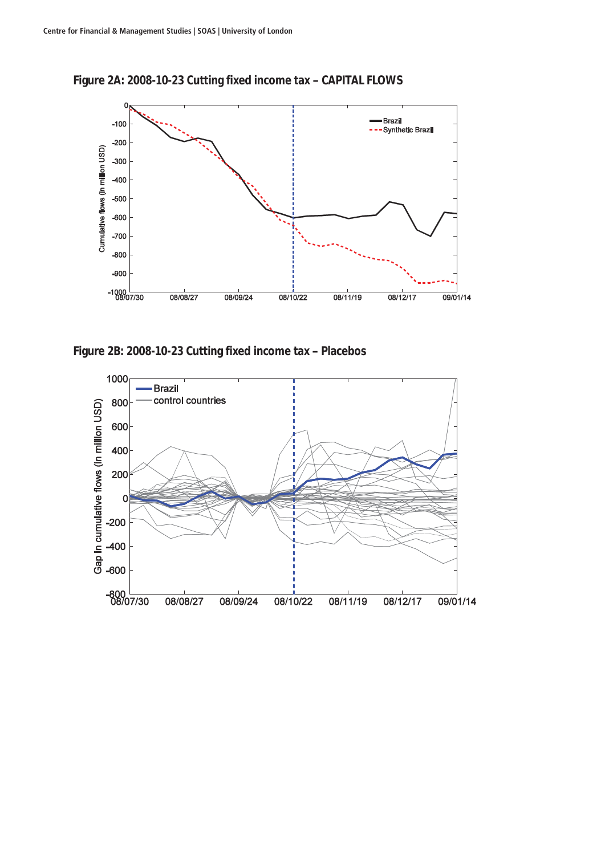



**Figure 2B: 2008-10-23 Cutting fixed income tax – Placebos** 

![](_page_21_Figure_4.jpeg)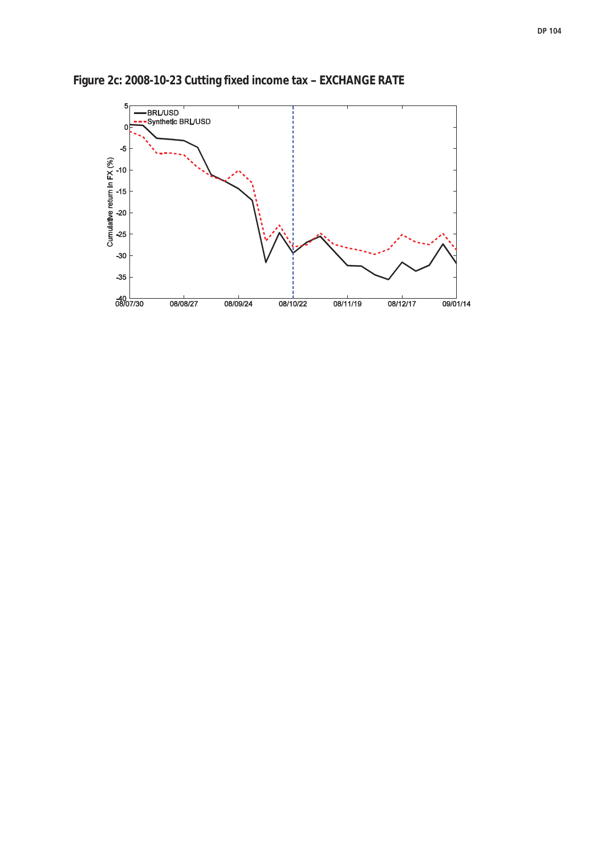![](_page_22_Figure_0.jpeg)

**Figure 2c: 2008-10-23 Cutting fixed income tax – EXCHANGE RATE**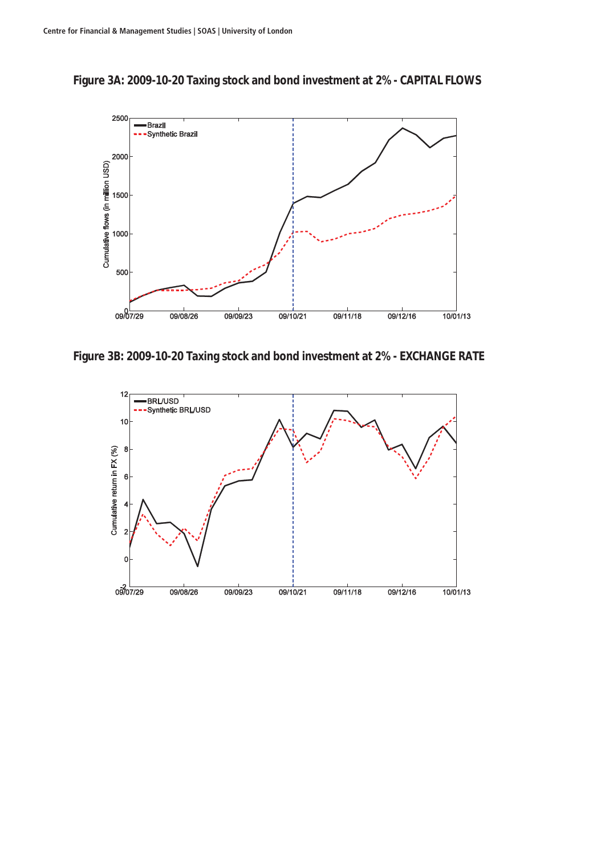![](_page_23_Figure_1.jpeg)

**Figure 3A: 2009-10-20 Taxing stock and bond investment at 2% - CAPITAL FLOWS**

**Figure 3B: 2009-10-20 Taxing stock and bond investment at 2% - EXCHANGE RATE** 

![](_page_23_Figure_4.jpeg)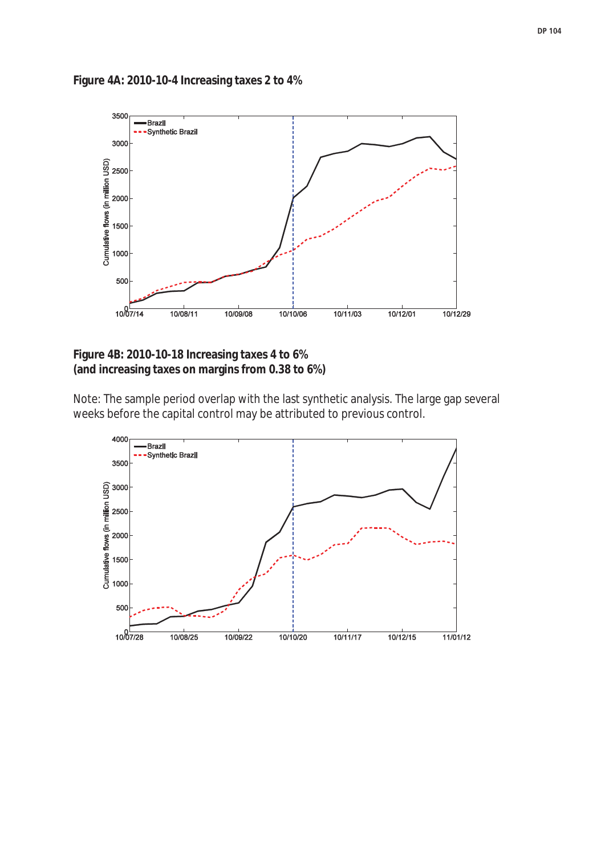**Figure 4A: 2010-10-4 Increasing taxes 2 to 4%**

![](_page_24_Figure_1.jpeg)

**Figure 4B: 2010-10-18 Increasing taxes 4 to 6% (and increasing taxes on margins from 0.38 to 6%)** 

Note: The sample period overlap with the last synthetic analysis. The large gap several weeks before the capital control may be attributed to previous control.

![](_page_24_Figure_4.jpeg)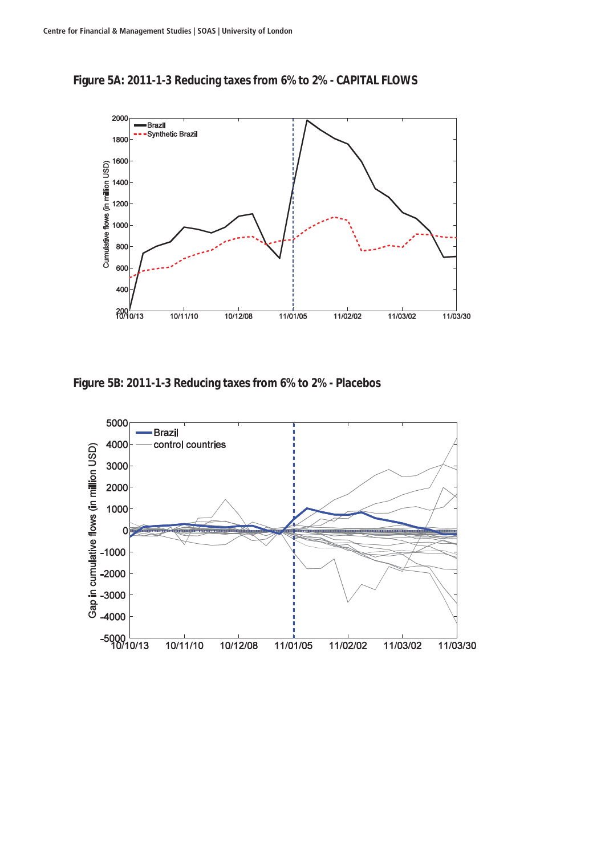![](_page_25_Figure_1.jpeg)

![](_page_25_Figure_2.jpeg)

**Figure 5B: 2011-1-3 Reducing taxes from 6% to 2% - Placebos** 

![](_page_25_Figure_4.jpeg)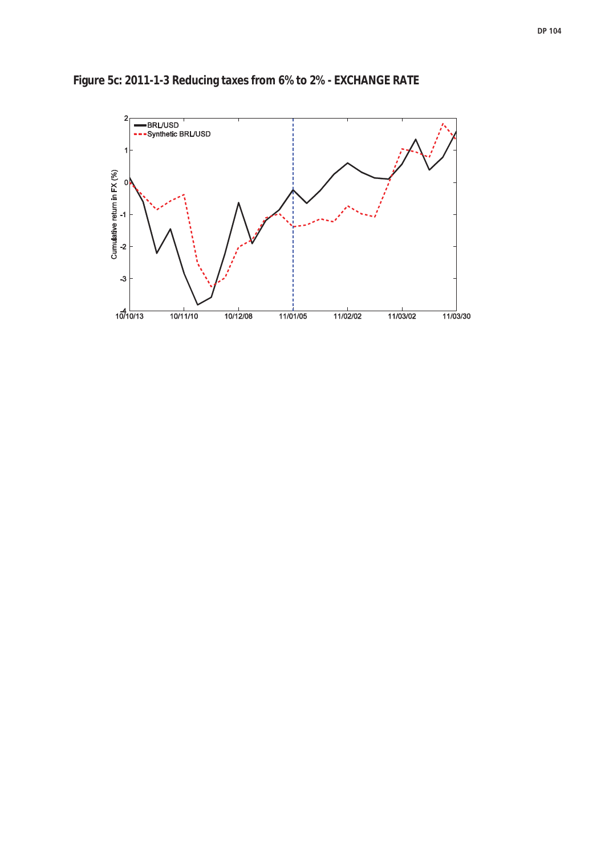![](_page_26_Figure_0.jpeg)

**Figure 5c: 2011-1-3 Reducing taxes from 6% to 2% - EXCHANGE RATE**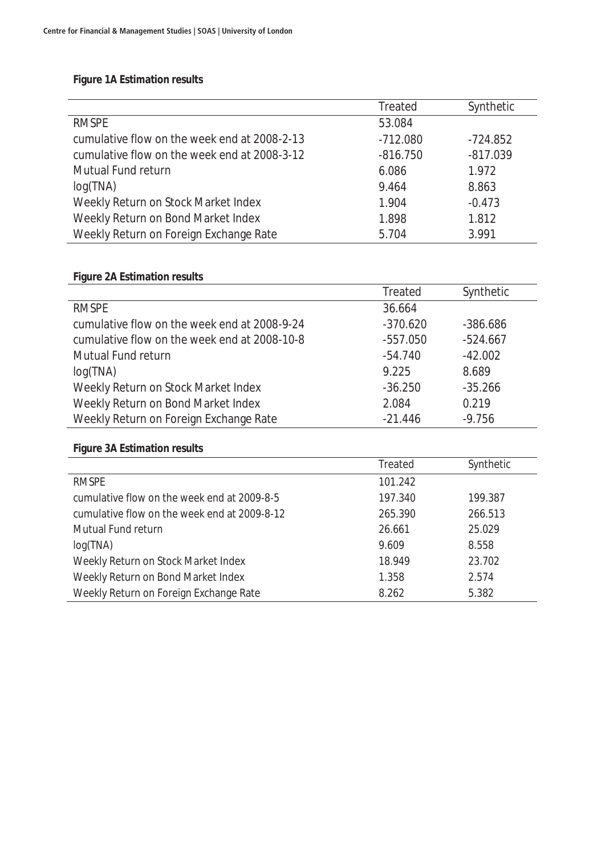## **Figure 1A Estimation results**

|                                              | Treated    | Synthetic  |
|----------------------------------------------|------------|------------|
| <b>RMSPE</b>                                 | 53.084     |            |
| cumulative flow on the week end at 2008-2-13 | $-712.080$ | $-724.852$ |
| cumulative flow on the week end at 2008-3-12 | $-816.750$ | $-817.039$ |
| Mutual Fund return                           | 6.086      | 1.972      |
| log(TNA)                                     | 9.464      | 8.863      |
| Weekly Return on Stock Market Index          | 1.904      | $-0.473$   |
| Weekly Return on Bond Market Index           | 1.898      | 1.812      |
| Weekly Return on Foreign Exchange Rate       | 5.704      | 3.991      |

## **Figure 2A Estimation results**

|                                              | Treated    | Synthetic  |
|----------------------------------------------|------------|------------|
| <b>RMSPE</b>                                 | 36.664     |            |
| cumulative flow on the week end at 2008-9-24 | $-370.620$ | -386.686   |
| cumulative flow on the week end at 2008-10-8 | $-557.050$ | $-524.667$ |
| Mutual Fund return                           | $-54.740$  | $-42.002$  |
| log(TNA)                                     | 9.225      | 8.689      |
| Weekly Return on Stock Market Index          | $-36.250$  | $-35.266$  |
| Weekly Return on Bond Market Index           | 2.084      | 0.219      |
| Weekly Return on Foreign Exchange Rate       | $-21.446$  | $-9.756$   |

## **Figure 3A Estimation results**

|                                              | Treated | Synthetic |
|----------------------------------------------|---------|-----------|
| <b>RMSPE</b>                                 | 101.242 |           |
| cumulative flow on the week end at 2009-8-5  | 197.340 | 199.387   |
| cumulative flow on the week end at 2009-8-12 | 265.390 | 266.513   |
| Mutual Fund return                           | 26.661  | 25.029    |
| log(TNA)                                     | 9.609   | 8.558     |
| Weekly Return on Stock Market Index          | 18.949  | 23.702    |
| Weekly Return on Bond Market Index           | 1.358   | 2.574     |
| Weekly Return on Foreign Exchange Rate       | 8.262   | 5.382     |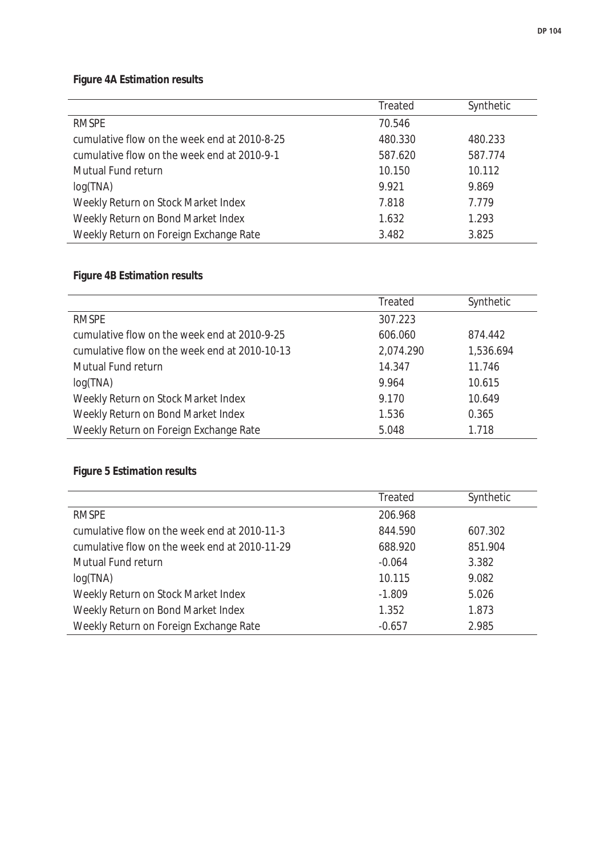#### **DP 104**

# **Figure 4A Estimation results**

|                                              | Treated | Synthetic |
|----------------------------------------------|---------|-----------|
| <b>RMSPE</b>                                 | 70.546  |           |
| cumulative flow on the week end at 2010-8-25 | 480.330 | 480.233   |
| cumulative flow on the week end at 2010-9-1  | 587.620 | 587.774   |
| Mutual Fund return                           | 10.150  | 10.112    |
| log(TNA)                                     | 9.921   | 9.869     |
| Weekly Return on Stock Market Index          | 7.818   | 7.779     |
| Weekly Return on Bond Market Index           | 1.632   | 1.293     |
| Weekly Return on Foreign Exchange Rate       | 3.482   | 3.825     |

# **Figure 4B Estimation results**

|                                               | Treated   | Synthetic |
|-----------------------------------------------|-----------|-----------|
| <b>RMSPE</b>                                  | 307.223   |           |
| cumulative flow on the week end at 2010-9-25  | 606.060   | 874.442   |
| cumulative flow on the week end at 2010-10-13 | 2,074.290 | 1,536.694 |
| Mutual Fund return                            | 14.347    | 11.746    |
| log(TNA)                                      | 9.964     | 10.615    |
| Weekly Return on Stock Market Index           | 9.170     | 10.649    |
| Weekly Return on Bond Market Index            | 1.536     | 0.365     |
| Weekly Return on Foreign Exchange Rate        | 5.048     | 1.718     |

# **Figure 5 Estimation results**

|                                               | Treated  | Synthetic |
|-----------------------------------------------|----------|-----------|
| <b>RMSPF</b>                                  | 206.968  |           |
| cumulative flow on the week end at 2010-11-3  | 844.590  | 607.302   |
| cumulative flow on the week end at 2010-11-29 | 688.920  | 851.904   |
| Mutual Fund return                            | $-0.064$ | 3.382     |
| log(TNA)                                      | 10.115   | 9.082     |
| Weekly Return on Stock Market Index           | $-1.809$ | 5.026     |
| Weekly Return on Bond Market Index            | 1.352    | 1.873     |
| Weekly Return on Foreign Exchange Rate        | $-0.657$ | 2.985     |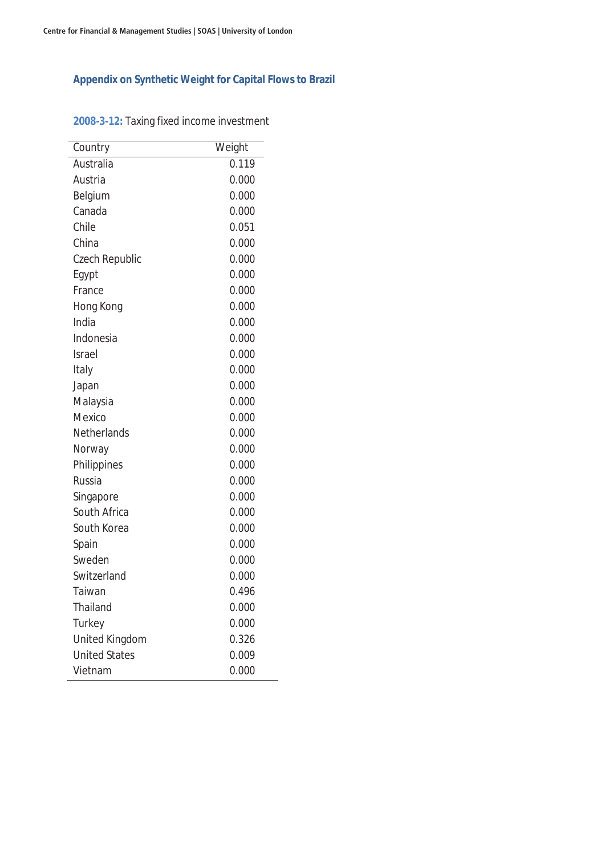# **Appendix on Synthetic Weight for Capital Flows to Brazil**

| Country              | Weight |
|----------------------|--------|
| Australia            | 0.119  |
| Austria              | 0.000  |
| Belgium              | 0.000  |
| Canada               | 0.000  |
| Chile                | 0.051  |
| China                | 0.000  |
| Czech Republic       | 0.000  |
| Egypt                | 0.000  |
| France               | 0.000  |
| Hong Kong            | 0.000  |
| India                | 0.000  |
| Indonesia            | 0.000  |
| <b>Israel</b>        | 0.000  |
| Italy                | 0.000  |
| Japan                | 0.000  |
| Malaysia             | 0.000  |
| Mexico               | 0.000  |
| <b>Netherlands</b>   | 0.000  |
| Norway               | 0.000  |
| Philippines          | 0.000  |
| Russia               | 0.000  |
| Singapore            | 0.000  |
| South Africa         | 0.000  |
| South Korea          | 0.000  |
| Spain                | 0.000  |
| Sweden               | 0.000  |
| Switzerland          | 0.000  |
| Taiwan               | 0.496  |
| Thailand             | 0.000  |
| Turkey               | 0.000  |
| United Kingdom       | 0.326  |
| <b>United States</b> | 0.009  |
| Vietnam              | 0.000  |

## **2008-3-12:** Taxing fixed income investment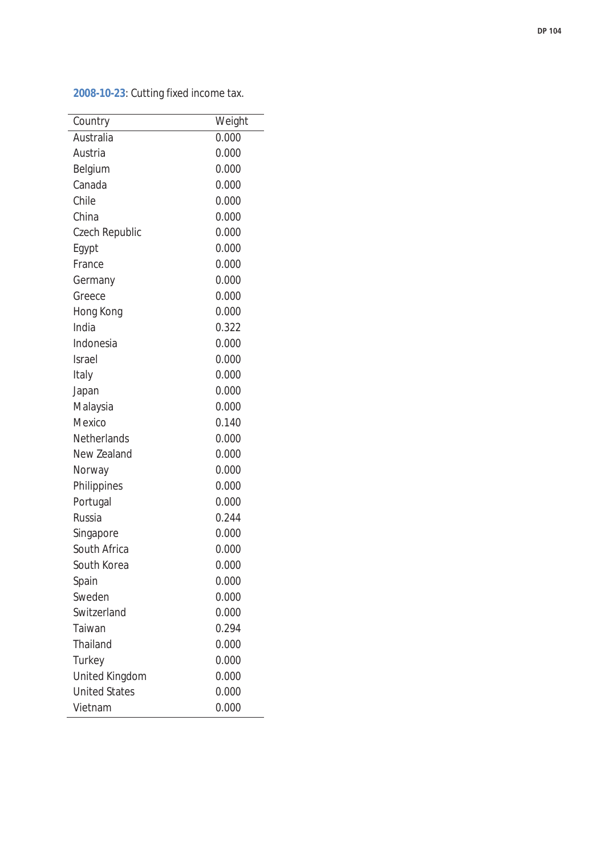| Country              | Weight |
|----------------------|--------|
| Australia            | 0.000  |
| Austria              | 0.000  |
| Belgium              | 0.000  |
| Canada               | 0.000  |
| Chile                | 0.000  |
| China                | 0.000  |
| Czech Republic       | 0.000  |
| Egypt                | 0.000  |
| France               | 0.000  |
| Germany              | 0.000  |
| Greece               | 0.000  |
| Hong Kong            | 0.000  |
| India                | 0.322  |
| Indonesia            | 0.000  |
| <b>Israel</b>        | 0.000  |
| Italy                | 0.000  |
| Japan                | 0.000  |
| Malaysia             | 0.000  |
| Mexico               | 0.140  |
| Netherlands          | 0.000  |
| New Zealand          | 0.000  |
| Norway               | 0.000  |
| Philippines          | 0.000  |
| Portugal             | 0.000  |
| Russia               | 0.244  |
| Singapore            | 0.000  |
| South Africa         | 0.000  |
| South Korea          | 0.000  |
| Spain                | 0.000  |
| Sweden               | 0.000  |
| Switzerland          | 0.000  |
| Taiwan               | 0.294  |
| Thailand             | 0.000  |
| Turkey               | 0.000  |
| United Kingdom       | 0.000  |
| <b>United States</b> | 0.000  |
| Vietnam              | 0.000  |

**2008-10-23**: Cutting fixed income tax.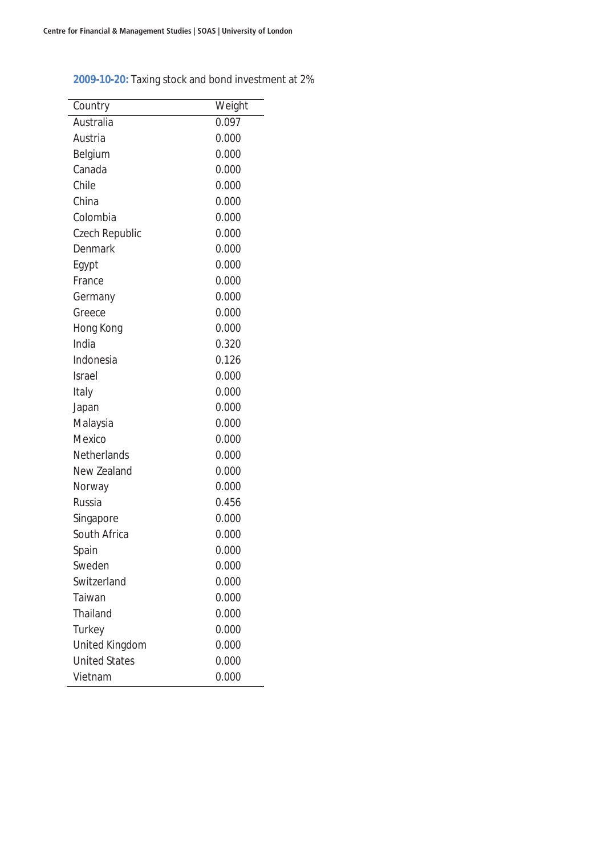| Country              | Weight |
|----------------------|--------|
| Australia            | 0.097  |
| Austria              | 0.000  |
| Belgium              | 0.000  |
| Canada               | 0.000  |
| Chile                | 0.000  |
| China                | 0.000  |
| Colombia             | 0.000  |
| Czech Republic       | 0.000  |
| Denmark              | 0.000  |
| Egypt                | 0.000  |
| France               | 0.000  |
| Germany              | 0.000  |
| Greece               | 0.000  |
| Hong Kong            | 0.000  |
| India                | 0.320  |
| Indonesia            | 0.126  |
| Israel               | 0.000  |
| Italy                | 0.000  |
| Japan                | 0.000  |
| Malaysia             | 0.000  |
| Mexico               | 0.000  |
| Netherlands          | 0.000  |
| New Zealand          | 0.000  |
| Norway               | 0.000  |
| Russia               | 0.456  |
| Singapore            | 0.000  |
| South Africa         | 0.000  |
| Spain                | 0.000  |
| Sweden               | 0.000  |
| Switzerland          | 0.000  |
| Taiwan               | 0.000  |
| Thailand             | 0.000  |
| Turkey               | 0.000  |
| United Kingdom       | 0.000  |
| <b>United States</b> | 0.000  |
| Vietnam              | 0.000  |

# **2009-10-20:** Taxing stock and bond investment at 2%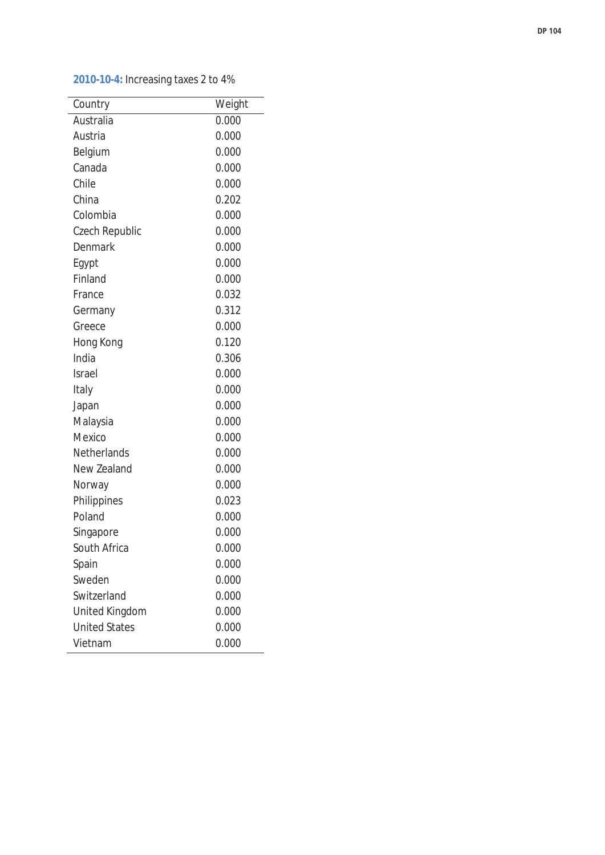# **2010-10-4:** Increasing taxes 2 to 4%

| Country               | Weight |
|-----------------------|--------|
| Australia             | 0.000  |
| Austria               | 0.000  |
| Belgium               | 0.000  |
| Canada                | 0.000  |
| Chile                 | 0.000  |
| China                 | 0.202  |
| Colombia              | 0.000  |
| <b>Czech Republic</b> | 0.000  |
| Denmark               | 0.000  |
| Egypt                 | 0.000  |
| Finland               | 0.000  |
| France                | 0.032  |
| Germany               | 0.312  |
| Greece                | 0.000  |
| Hong Kong             | 0.120  |
| India                 | 0.306  |
| <b>Israel</b>         | 0.000  |
| Italy                 | 0.000  |
| Japan                 | 0.000  |
| Malaysia              | 0.000  |
| Mexico                | 0.000  |
| <b>Netherlands</b>    | 0.000  |
| New Zealand           | 0.000  |
| Norway                | 0.000  |
| Philippines           | 0.023  |
| Poland                | 0.000  |
| Singapore             | 0.000  |
| South Africa          | 0.000  |
| Spain                 | 0.000  |
| Sweden                | 0.000  |
| Switzerland           | 0.000  |
| United Kingdom        | 0.000  |
| <b>United States</b>  | 0.000  |
| Vietnam               | 0.000  |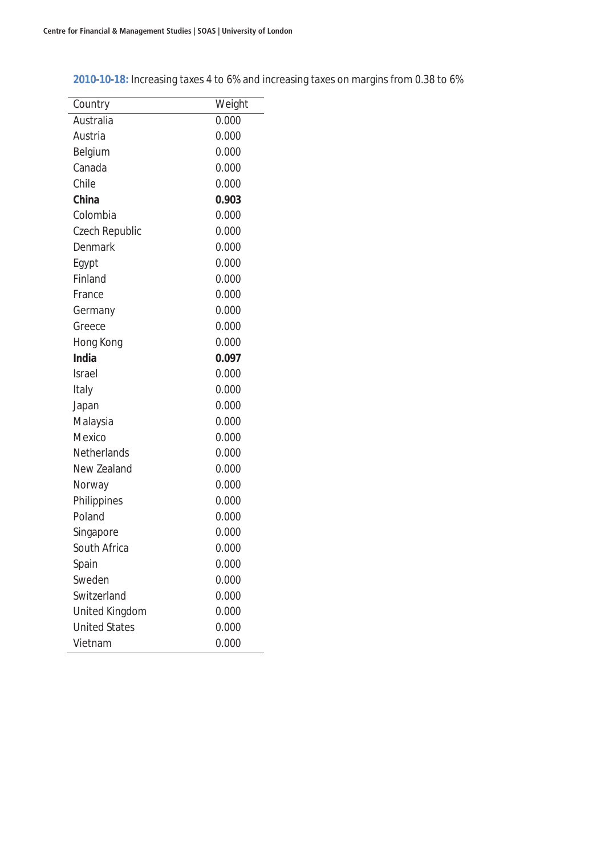| Country              | Weight |
|----------------------|--------|
| Australia            | 0.000  |
| Austria              | 0.000  |
| Belgium              | 0.000  |
| Canada               | 0.000  |
| Chile                | 0.000  |
| China                | 0.903  |
| Colombia             | 0.000  |
| Czech Republic       | 0.000  |
| Denmark              | 0.000  |
| Egypt                | 0.000  |
| Finland              | 0.000  |
| France               | 0.000  |
| Germany              | 0.000  |
| Greece               | 0.000  |
| Hong Kong            | 0.000  |
| India                | 0.097  |
| <b>Israel</b>        | 0.000  |
| Italy                | 0.000  |
| Japan                | 0.000  |
| Malaysia             | 0.000  |
| Mexico               | 0.000  |
| <b>Netherlands</b>   | 0.000  |
| New Zealand          | 0.000  |
| Norway               | 0.000  |
| Philippines          | 0.000  |
| Poland               | 0.000  |
| Singapore            | 0.000  |
| South Africa         | 0.000  |
| Spain                | 0.000  |
| Sweden               | 0.000  |
| Switzerland          | 0.000  |
| United Kingdom       | 0.000  |
| <b>United States</b> | 0.000  |
| Vietnam              | 0.000  |

**2010-10-18:** Increasing taxes 4 to 6% and increasing taxes on margins from 0.38 to 6%